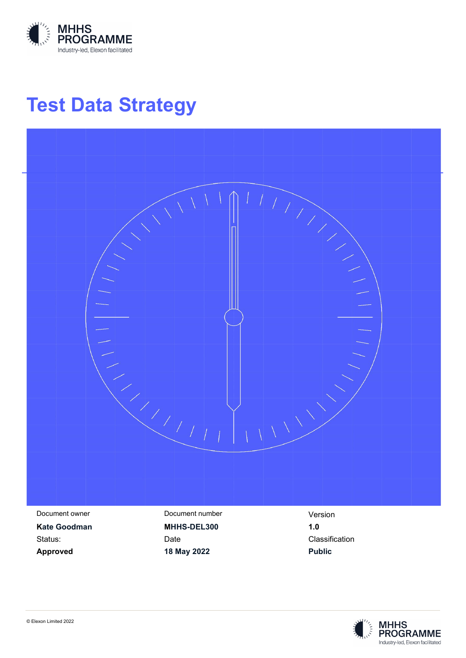

# **Test Data Strategy**



**Approved 18 May 2022 Public**

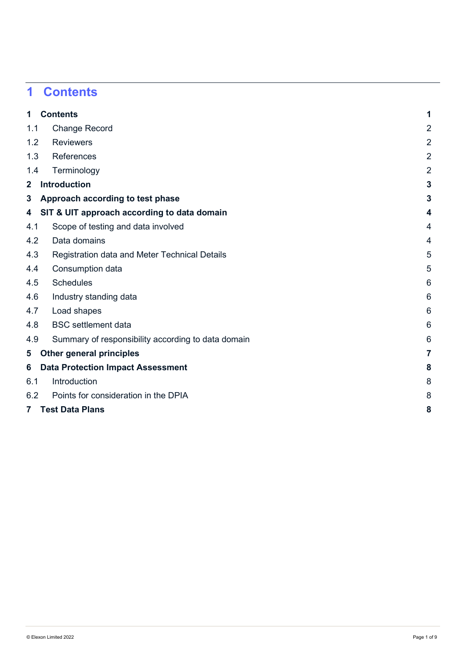# <span id="page-1-0"></span>**1 Contents**

| $\mathbf{1}$   | <b>Contents</b>                                    | 1               |
|----------------|----------------------------------------------------|-----------------|
| 1.1            | <b>Change Record</b>                               | $\overline{2}$  |
| 1.2            | <b>Reviewers</b>                                   | $\overline{2}$  |
| 1.3            | <b>References</b>                                  | $\overline{2}$  |
| 1.4            | Terminology                                        | $\overline{2}$  |
| $\mathbf{2}$   | <b>Introduction</b>                                | $\mathbf{3}$    |
| 3              | Approach according to test phase                   | 3               |
| 4              | SIT & UIT approach according to data domain        | 4               |
| 4.1            | Scope of testing and data involved                 | 4               |
| 4.2            | Data domains                                       | 4               |
| 4.3            | Registration data and Meter Technical Details      | 5               |
| 4.4            | Consumption data                                   | 5               |
| 4.5            | <b>Schedules</b>                                   | 6               |
| 4.6            | Industry standing data                             | $6\phantom{1}6$ |
| 4.7            | Load shapes                                        | 6               |
| 4.8            | <b>BSC</b> settlement data                         | 6               |
| 4.9            | Summary of responsibility according to data domain | 6               |
| 5              | <b>Other general principles</b>                    | $\overline{7}$  |
| 6              | <b>Data Protection Impact Assessment</b>           | 8               |
| 6.1            | Introduction                                       | 8               |
| 6.2            | Points for consideration in the DPIA               | 8               |
| $7\phantom{.}$ | <b>Test Data Plans</b>                             | 8               |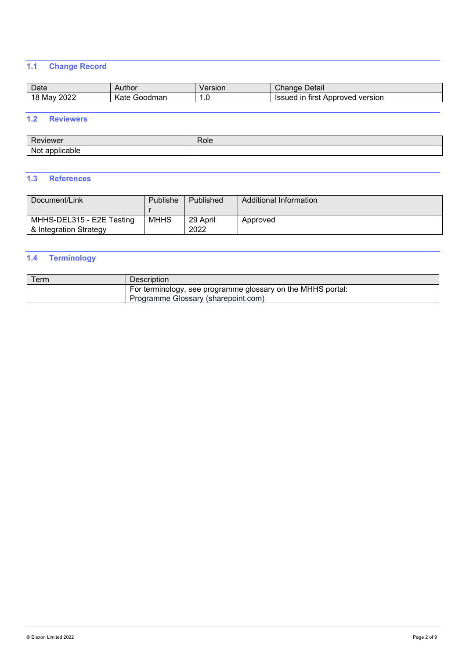### <span id="page-2-0"></span>**1.1 Change Record**

| Date                     | Author                               | ersion    | Detail<br><u>טמחה</u><br>Criande                    |
|--------------------------|--------------------------------------|-----------|-----------------------------------------------------|
| ററാ<br>Mav<br>ZUZZ<br>טו | $\sqrt{ }$<br>√ate<br>›dman<br>noodr | Ē<br>ں. ا | Approved<br>version<br>tırst<br>ır<br><b>Issued</b> |

#### <span id="page-2-1"></span>**1.2 Reviewers**

| -<br>.<br>.n. 1           | kole |
|---------------------------|------|
| NI.<br>ж<br>.<br>.<br>. . |      |

#### <span id="page-2-2"></span>**1.3 References**

| Document/Link                                       | Publishe    | Published        | Additional Information |
|-----------------------------------------------------|-------------|------------------|------------------------|
| MHHS-DEL315 - E2E Testing<br>& Integration Strategy | <b>MHHS</b> | 29 April<br>2022 | Approved               |

### <span id="page-2-3"></span>**1.4 Terminology**

| Term | Description                                                                                        |
|------|----------------------------------------------------------------------------------------------------|
|      | For terminology, see programme glossary on the MHHS portal:<br>Programme Glossary (sharepoint.com) |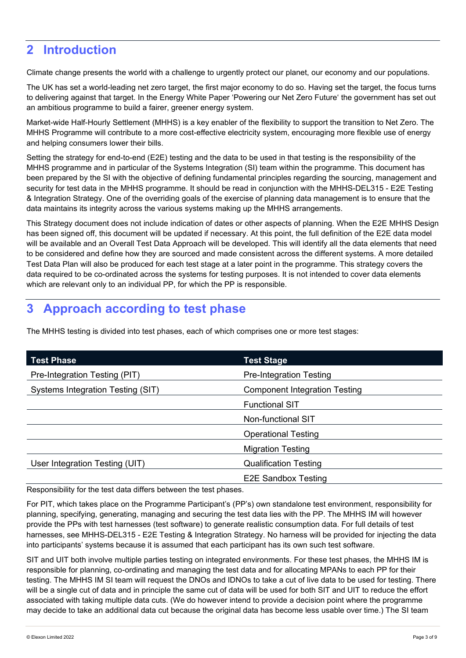### <span id="page-3-0"></span>**2 Introduction**

Climate change presents the world with a challenge to urgently protect our planet, our economy and our populations.

The UK has set a world-leading net zero target, the first major economy to do so. Having set the target, the focus turns to delivering against that target. In the Energy White Paper ['Powering our Net Zero Future'](https://assets.publishing.service.gov.uk/government/uploads/system/uploads/attachment_data/file/945899/201216_BEIS_EWP_Command_Paper_Accessible.pdf) the government has set out an ambitious programme to build a fairer, greener energy system.

Market-wide Half-Hourly Settlement (MHHS) is a key enabler of the flexibility to support the transition to Net Zero. The MHHS Programme will contribute to a more cost-effective electricity system, encouraging more flexible use of energy and helping consumers lower their bills.

Setting the strategy for end-to-end (E2E) testing and the data to be used in that testing is the responsibility of the MHHS programme and in particular of the Systems Integration (SI) team within the programme. This document has been prepared by the SI with the objective of defining fundamental principles regarding the sourcing, management and security for test data in the MHHS programme. It should be read in conjunction with the MHHS-DEL315 - E2E Testing & Integration Strategy. One of the overriding goals of the exercise of planning data management is to ensure that the data maintains its integrity across the various systems making up the MHHS arrangements.

This Strategy document does not include indication of dates or other aspects of planning. When the E2E MHHS Design has been signed off, this document will be updated if necessary. At this point, the full definition of the E2E data model will be available and an Overall Test Data Approach will be developed. This will identify all the data elements that need to be considered and define how they are sourced and made consistent across the different systems. A more detailed Test Data Plan will also be produced for each test stage at a later point in the programme. This strategy covers the data required to be co-ordinated across the systems for testing purposes. It is not intended to cover data elements which are relevant only to an individual PP, for which the PP is responsible.

# <span id="page-3-1"></span>**3 Approach according to test phase**

The MHHS testing is divided into test phases, each of which comprises one or more test stages:

| <b>Test Phase</b>                 | <b>Test Stage</b>                    |
|-----------------------------------|--------------------------------------|
| Pre-Integration Testing (PIT)     | <b>Pre-Integration Testing</b>       |
| Systems Integration Testing (SIT) | <b>Component Integration Testing</b> |
|                                   | <b>Functional SIT</b>                |
|                                   | Non-functional SIT                   |
|                                   | <b>Operational Testing</b>           |
|                                   | <b>Migration Testing</b>             |
| User Integration Testing (UIT)    | <b>Qualification Testing</b>         |
|                                   | <b>E2E Sandbox Testing</b>           |

Responsibility for the test data differs between the test phases.

For PIT, which takes place on the Programme Participant's (PP's) own standalone test environment, responsibility for planning, specifying, generating, managing and securing the test data lies with the PP. The MHHS IM will however provide the PPs with test harnesses (test software) to generate realistic consumption data. For full details of test harnesses, see MHHS-DEL315 - E2E Testing & Integration Strategy. No harness will be provided for injecting the data into participants' systems because it is assumed that each participant has its own such test software.

SIT and UIT both involve multiple parties testing on integrated environments. For these test phases, the MHHS IM is responsible for planning, co-ordinating and managing the test data and for allocating MPANs to each PP for their testing. The MHHS IM SI team will request the DNOs and IDNOs to take a cut of live data to be used for testing. There will be a single cut of data and in principle the same cut of data will be used for both SIT and UIT to reduce the effort associated with taking multiple data cuts. (We do however intend to provide a decision point where the programme may decide to take an additional data cut because the original data has become less usable over time.) The SI team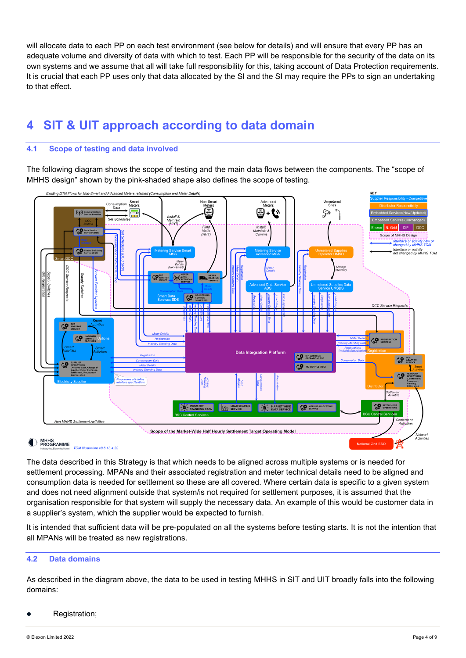will allocate data to each PP on each test environment (see below for details) and will ensure that every PP has an adequate volume and diversity of data with which to test. Each PP will be responsible for the security of the data on its own systems and we assume that all will take full responsibility for this, taking account of Data Protection requirements. It is crucial that each PP uses only that data allocated by the SI and the SI may require the PPs to sign an undertaking to that effect.

# <span id="page-4-0"></span>**4 SIT & UIT approach according to data domain**

#### <span id="page-4-1"></span>**4.1 Scope of testing and data involved**

The following diagram shows the scope of testing and the main data flows between the components. The "scope of MHHS design" shown by the pink-shaded shape also defines the scope of testing.



The data described in this Strategy is that which needs to be aligned across multiple systems or is needed for settlement processing. MPANs and their associated registration and meter technical details need to be aligned and consumption data is needed for settlement so these are all covered. Where certain data is specific to a given system and does not need alignment outside that system/is not required for settlement purposes, it is assumed that the organisation responsible for that system will supply the necessary data. An example of this would be customer data in a supplier's system, which the supplier would be expected to furnish.

It is intended that sufficient data will be pre-populated on all the systems before testing starts. It is not the intention that all MPANs will be treated as new registrations.

#### <span id="page-4-2"></span>**4.2 Data domains**

As described in the diagram above, the data to be used in testing MHHS in SIT and UIT broadly falls into the following domains:

Registration;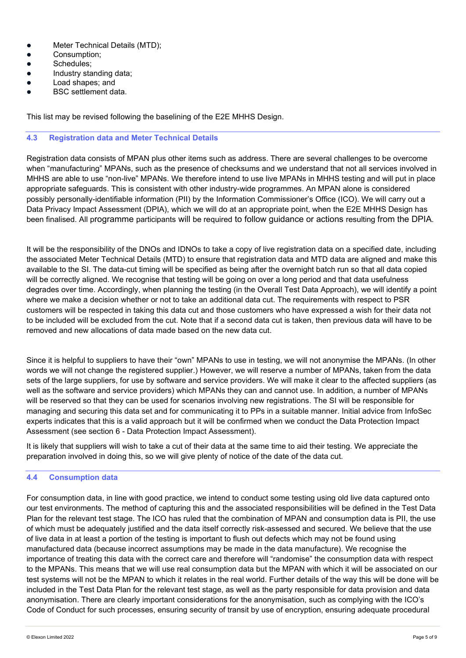- Meter Technical Details (MTD);
- **•** Consumption;
- Schedules:
- Industry standing data;
- Load shapes: and
- BSC settlement data.

This list may be revised following the baselining of the E2E MHHS Design.

#### <span id="page-5-0"></span>**4.3 Registration data and Meter Technical Details**

Registration data consists of MPAN plus other items such as address. There are several challenges to be overcome when "manufacturing" MPANs, such as the presence of checksums and we understand that not all services involved in MHHS are able to use "non-live" MPANs. We therefore intend to use live MPANs in MHHS testing and will put in place appropriate safeguards. This is consistent with other industry-wide programmes. An MPAN alone is considered possibly personally-identifiable information (PII) by the Information Commissioner's Office (ICO). We will carry out a Data Privacy Impact Assessment (DPIA), which we will do at an appropriate point, when the E2E MHHS Design has been finalised. All programme participants will be required to follow guidance or actions resulting from the DPIA.

It will be the responsibility of the DNOs and IDNOs to take a copy of live registration data on a specified date, including the associated Meter Technical Details (MTD) to ensure that registration data and MTD data are aligned and make this available to the SI. The data-cut timing will be specified as being after the overnight batch run so that all data copied will be correctly aligned. We recognise that testing will be going on over a long period and that data usefulness degrades over time. Accordingly, when planning the testing (in the Overall Test Data Approach), we will identify a point where we make a decision whether or not to take an additional data cut. The requirements with respect to PSR customers will be respected in taking this data cut and those customers who have expressed a wish for their data not to be included will be excluded from the cut. Note that if a second data cut is taken, then previous data will have to be removed and new allocations of data made based on the new data cut.

Since it is helpful to suppliers to have their "own" MPANs to use in testing, we will not anonymise the MPANs. (In other words we will not change the registered supplier.) However, we will reserve a number of MPANs, taken from the data sets of the large suppliers, for use by software and service providers. We will make it clear to the affected suppliers (as well as the software and service providers) which MPANs they can and cannot use. In addition, a number of MPANs will be reserved so that they can be used for scenarios involving new registrations. The SI will be responsible for managing and securing this data set and for communicating it to PPs in a suitable manner. Initial advice from InfoSec experts indicates that this is a valid approach but it will be confirmed when we conduct the Data Protection Impact Assessment (see section [6](#page-8-0) - [Data Protection Impact Assessment\)](#page-8-0).

It is likely that suppliers will wish to take a cut of their data at the same time to aid their testing. We appreciate the preparation involved in doing this, so we will give plenty of notice of the date of the data cut.

#### <span id="page-5-1"></span>**4.4 Consumption data**

For consumption data, in line with good practice, we intend to conduct some testing using old live data captured onto our test environments. The method of capturing this and the associated responsibilities will be defined in the Test Data Plan for the relevant test stage. The ICO has ruled that the combination of MPAN and consumption data is PII, the use of which must be adequately justified and the data itself correctly risk-assessed and secured. We believe that the use of live data in at least a portion of the testing is important to flush out defects which may not be found using manufactured data (because incorrect assumptions may be made in the data manufacture). We recognise the importance of treating this data with the correct care and therefore will "randomise" the consumption data with respect to the MPANs. This means that we will use real consumption data but the MPAN with which it will be associated on our test systems will not be the MPAN to which it relates in the real world. Further details of the way this will be done will be included in the Test Data Plan for the relevant test stage, as well as the party responsible for data provision and data anonymisation. There are clearly important considerations for the anonymisation, such as complying with the ICO's Code of Conduct for such processes, ensuring security of transit by use of encryption, ensuring adequate procedural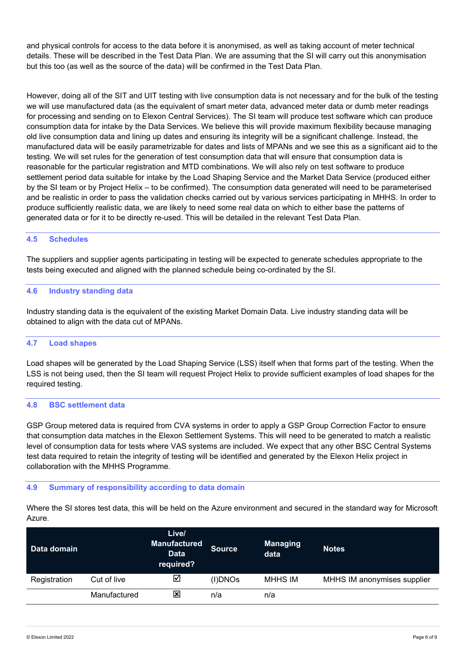and physical controls for access to the data before it is anonymised, as well as taking account of meter technical details. These will be described in the Test Data Plan. We are assuming that the SI will carry out this anonymisation but this too (as well as the source of the data) will be confirmed in the Test Data Plan.

However, doing all of the SIT and UIT testing with live consumption data is not necessary and for the bulk of the testing we will use manufactured data (as the equivalent of smart meter data, advanced meter data or dumb meter readings for processing and sending on to Elexon Central Services). The SI team will produce test software which can produce consumption data for intake by the Data Services. We believe this will provide maximum flexibility because managing old live consumption data and lining up dates and ensuring its integrity will be a significant challenge. Instead, the manufactured data will be easily parametrizable for dates and lists of MPANs and we see this as a significant aid to the testing. We will set rules for the generation of test consumption data that will ensure that consumption data is reasonable for the particular registration and MTD combinations. We will also rely on test software to produce settlement period data suitable for intake by the Load Shaping Service and the Market Data Service (produced either by the SI team or by Project Helix – to be confirmed). The consumption data generated will need to be parameterised and be realistic in order to pass the validation checks carried out by various services participating in MHHS. In order to produce sufficiently realistic data, we are likely to need some real data on which to either base the patterns of generated data or for it to be directly re-used. This will be detailed in the relevant Test Data Plan.

#### <span id="page-6-0"></span>**4.5 Schedules**

The suppliers and supplier agents participating in testing will be expected to generate schedules appropriate to the tests being executed and aligned with the planned schedule being co-ordinated by the SI.

#### <span id="page-6-1"></span>**4.6 Industry standing data**

Industry standing data is the equivalent of the existing Market Domain Data. Live industry standing data will be obtained to align with the data cut of MPANs.

#### <span id="page-6-2"></span>**4.7 Load shapes**

Load shapes will be generated by the Load Shaping Service (LSS) itself when that forms part of the testing. When the LSS is not being used, then the SI team will request Project Helix to provide sufficient examples of load shapes for the required testing.

#### <span id="page-6-3"></span>**4.8 BSC settlement data**

GSP Group metered data is required from CVA systems in order to apply a GSP Group Correction Factor to ensure that consumption data matches in the Elexon Settlement Systems. This will need to be generated to match a realistic level of consumption data for tests where VAS systems are included. We expect that any other BSC Central Systems test data required to retain the integrity of testing will be identified and generated by the Elexon Helix project in collaboration with the MHHS Programme.

#### <span id="page-6-4"></span>**4.9 Summary of responsibility according to data domain**

Where the SI stores test data, this will be held on the Azure environment and secured in the standard way for Microsoft Azure.

| Data domain  |              | Live/<br><b>Manufactured</b><br><b>Data</b><br>required? | <b>Source</b> | <b>Managing</b><br>data | <b>Notes</b>                |
|--------------|--------------|----------------------------------------------------------|---------------|-------------------------|-----------------------------|
| Registration | Cut of live  | ☑                                                        | (I)DNOs       | <b>MHHS IM</b>          | MHHS IM anonymises supplier |
|              | Manufactured | $\overline{\mathbf{x}}$                                  | n/a           | n/a                     |                             |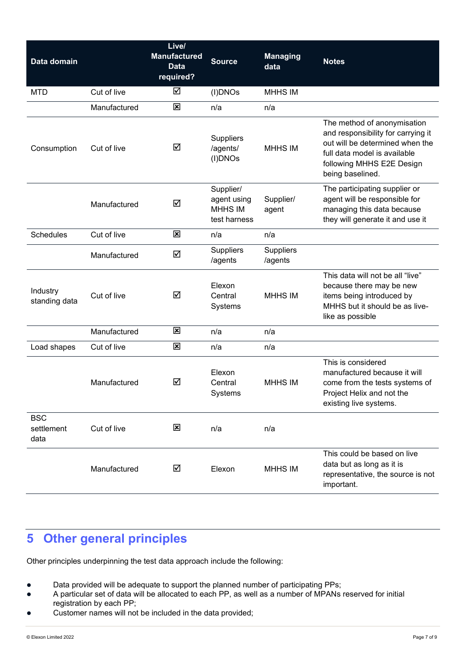| Data domain                      |              | Live/<br><b>Manufactured</b><br><b>Data</b><br>required? | <b>Source</b>                                              | <b>Managing</b><br>data | <b>Notes</b>                                                                                                                                                                          |
|----------------------------------|--------------|----------------------------------------------------------|------------------------------------------------------------|-------------------------|---------------------------------------------------------------------------------------------------------------------------------------------------------------------------------------|
| <b>MTD</b>                       | Cut of live  | ☑                                                        | (I)DNOs                                                    | <b>MHHS IM</b>          |                                                                                                                                                                                       |
|                                  | Manufactured | $\overline{\mathbf{x}}$                                  | n/a                                                        | n/a                     |                                                                                                                                                                                       |
| Consumption                      | Cut of live  | ☑                                                        | <b>Suppliers</b><br>/agents/<br>(I)DNOs                    | <b>MHHS IM</b>          | The method of anonymisation<br>and responsibility for carrying it<br>out will be determined when the<br>full data model is available<br>following MHHS E2E Design<br>being baselined. |
|                                  | Manufactured | ☑                                                        | Supplier/<br>agent using<br><b>MHHS IM</b><br>test harness | Supplier/<br>agent      | The participating supplier or<br>agent will be responsible for<br>managing this data because<br>they will generate it and use it                                                      |
| <b>Schedules</b>                 | Cut of live  | $\overline{\mathbf{x}}$                                  | n/a                                                        | n/a                     |                                                                                                                                                                                       |
|                                  | Manufactured | ☑                                                        | <b>Suppliers</b><br>/agents                                | Suppliers<br>/agents    |                                                                                                                                                                                       |
| Industry<br>standing data        | Cut of live  | ☑                                                        | Elexon<br>Central<br>Systems                               | <b>MHHS IM</b>          | This data will not be all "live"<br>because there may be new<br>items being introduced by<br>MHHS but it should be as live-<br>like as possible                                       |
|                                  | Manufactured | ⊠                                                        | n/a                                                        | n/a                     |                                                                                                                                                                                       |
| Load shapes                      | Cut of live  | $\overline{\mathbf{x}}$                                  | n/a                                                        | n/a                     |                                                                                                                                                                                       |
|                                  | Manufactured | ☑                                                        | Elexon<br>Central<br>Systems                               | <b>MHHS IM</b>          | This is considered<br>manufactured because it will<br>come from the tests systems of<br>Project Helix and not the<br>existing live systems.                                           |
| <b>BSC</b><br>settlement<br>data | Cut of live  | $\mathbf{\overline{x}}$                                  | n/a                                                        | n/a                     |                                                                                                                                                                                       |
|                                  | Manufactured | ☑                                                        | Elexon                                                     | <b>MHHS IM</b>          | This could be based on live<br>data but as long as it is<br>representative, the source is not<br>important.                                                                           |

# <span id="page-7-0"></span>**5 Other general principles**

Other principles underpinning the test data approach include the following:

- Data provided will be adequate to support the planned number of participating PPs;
- A particular set of data will be allocated to each PP, as well as a number of MPANs reserved for initial registration by each PP;
- Customer names will not be included in the data provided;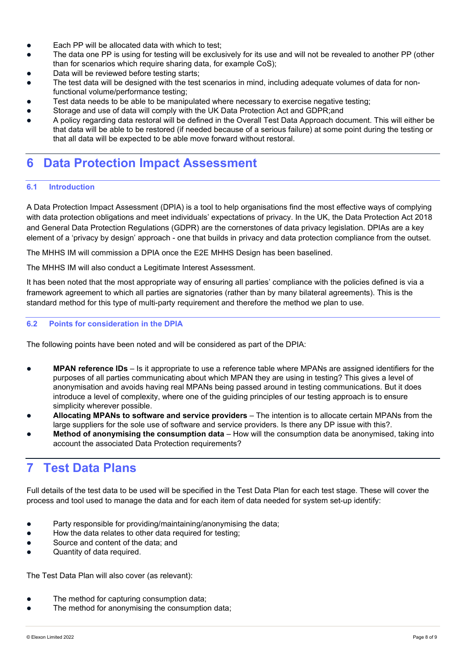- Each PP will be allocated data with which to test;
- The data one PP is using for testing will be exclusively for its use and will not be revealed to another PP (other than for scenarios which require sharing data, for example CoS);
- Data will be reviewed before testing starts;
- The test data will be designed with the test scenarios in mind, including adequate volumes of data for nonfunctional volume/performance testing;
- Test data needs to be able to be manipulated where necessary to exercise negative testing;
- Storage and use of data will comply with the UK Data Protection Act and GDPR;and
- A policy regarding data restoral will be defined in the Overall Test Data Approach document. This will either be that data will be able to be restored (if needed because of a serious failure) at some point during the testing or that all data will be expected to be able move forward without restoral.

### <span id="page-8-0"></span>**6 Data Protection Impact Assessment**

#### <span id="page-8-1"></span>**6.1 Introduction**

A Data Protection Impact Assessment (DPIA) is a tool to help organisations find the most effective ways of complying with data protection obligations and meet individuals' expectations of privacy. In the UK, the Data Protection Act 2018 and General Data Protection Regulations (GDPR) are the cornerstones of data privacy legislation. DPIAs are a key element of a 'privacy by design' approach - one that builds in privacy and data protection compliance from the outset.

The MHHS IM will commission a DPIA once the E2E MHHS Design has been baselined.

The MHHS IM will also conduct a Legitimate Interest Assessment.

It has been noted that the most appropriate way of ensuring all parties' compliance with the policies defined is via a framework agreement to which all parties are signatories (rather than by many bilateral agreements). This is the standard method for this type of multi-party requirement and therefore the method we plan to use.

#### <span id="page-8-2"></span>**6.2 Points for consideration in the DPIA**

The following points have been noted and will be considered as part of the DPIA:

- **MPAN reference IDs** Is it appropriate to use a reference table where MPANs are assigned identifiers for the purposes of all parties communicating about which MPAN they are using in testing? This gives a level of anonymisation and avoids having real MPANs being passed around in testing communications. But it does introduce a level of complexity, where one of the guiding principles of our testing approach is to ensure simplicity wherever possible.
- **Allocating MPANs to software and service providers** The intention is to allocate certain MPANs from the large suppliers for the sole use of software and service providers. Is there any DP issue with this?.
- **Method of anonymising the consumption data**  How will the consumption data be anonymised, taking into account the associated Data Protection requirements?

### <span id="page-8-3"></span>**7 Test Data Plans**

Full details of the test data to be used will be specified in the Test Data Plan for each test stage. These will cover the process and tool used to manage the data and for each item of data needed for system set-up identify:

- Party responsible for providing/maintaining/anonymising the data;
- How the data relates to other data required for testing;
- Source and content of the data; and
- Quantity of data required.

The Test Data Plan will also cover (as relevant):

- The method for capturing consumption data;
- The method for anonymising the consumption data;